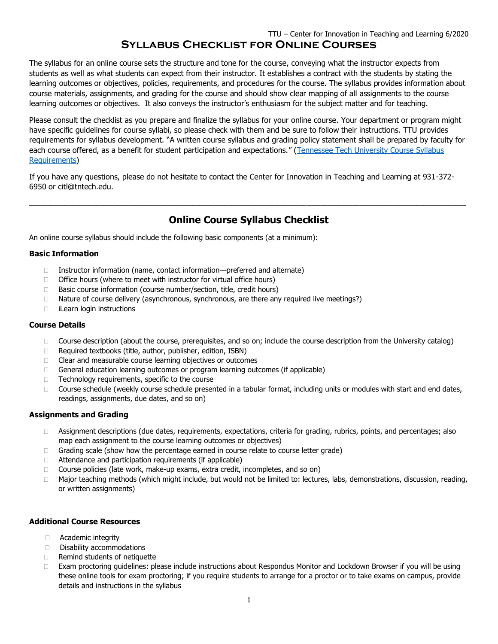## **Syllabus Checklist for Online Courses**

The syllabus for an online course sets the structure and tone for the course, conveying what the instructor expects from students as well as what students can expect from their instructor. It establishes a contract with the students by stating the learning outcomes or objectives, policies, requirements, and procedures for the course. The syllabus provides information about course materials, assignments, and grading for the course and should show clear mapping of all assignments to the course learning outcomes or objectives. It also conveys the instructor's enthusiasm for the subject matter and for teaching.

Please consult the checklist as you prepare and finalize the syllabus for your online course. Your department or program might have specific guidelines for course syllabi, so please check with them and be sure to follow their instructions. TTU provides requirements for syllabus development. "A written course syllabus and grading policy statement shall be prepared by faculty for each course offered, as a benefit for student participation and expectations." (Tennessee Tech University Course Syllabus [Requirements\)](https://www.tntech.edu/provost/facultyinformation.php)

If you have any questions, please do not hesitate to contact the Center for Innovation in Teaching and Learning at 931-372- 6950 or citl@tntech.edu.

# **Online Course Syllabus Checklist**

\_\_\_\_\_\_\_\_\_\_\_\_\_\_\_\_\_\_\_\_\_\_\_\_\_\_\_\_\_\_\_\_\_\_\_\_\_\_\_\_\_\_\_\_\_\_\_\_\_\_\_\_\_\_\_\_\_\_\_\_\_\_\_\_\_\_\_\_\_\_\_\_\_\_\_\_\_\_\_\_\_\_\_\_\_\_\_\_\_\_\_\_\_\_\_\_\_\_\_\_\_\_\_\_\_\_\_\_\_\_\_\_\_\_\_\_\_\_\_\_\_\_\_

An online course syllabus should include the following basic components (at a minimum):

## **Basic Information**

- $\Box$  Instructor information (name, contact information—preferred and alternate)
- $\Box$  Office hours (where to meet with instructor for virtual office hours)
- □ Basic course information (course number/section, title, credit hours)
- □ Nature of course delivery (asynchronous, synchronous, are there any required live meetings?)
- iLearn login instructions

## **Course Details**

- $\Box$  Course description (about the course, prerequisites, and so on; include the course description from the University catalog)
- $\Box$  Required textbooks (title, author, publisher, edition, ISBN)
- $\Box$  Clear and measurable course learning objectives or outcomes
- $\Box$  General education learning outcomes or program learning outcomes (if applicable)
- $\Box$  Technology requirements, specific to the course
- $\Box$  Course schedule (weekly course schedule presented in a tabular format, including units or modules with start and end dates, readings, assignments, due dates, and so on)

#### **Assignments and Grading**

- $\Box$  Assignment descriptions (due dates, requirements, expectations, criteria for grading, rubrics, points, and percentages; also map each assignment to the course learning outcomes or objectives)
- $\Box$  Grading scale (show how the percentage earned in course relate to course letter grade)
- $\Box$  Attendance and participation requirements (if applicable)
- □ Course policies (late work, make-up exams, extra credit, incompletes, and so on)
- □ Major teaching methods (which might include, but would not be limited to: lectures, labs, demonstrations, discussion, reading, or written assignments)

#### **Additional Course Resources**

- Academic integrity
- Disability accommodations
- Remind students of netiquette
- □ Exam proctoring guidelines: please include instructions about Respondus Monitor and Lockdown Browser if you will be using these online tools for exam proctoring; if you require students to arrange for a proctor or to take exams on campus, provide details and instructions in the syllabus